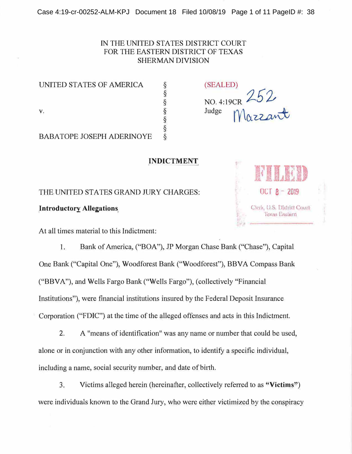# IN THE UNITED STATES DISTRICT COURT FOR THE EASTERN DISTRICT OF TEXAS SHERMAN DIVISION

UNITED STATES OF AMERICA § (SEALED)

BABATOPE JOSEPH ADERINOYE

**INDICTMENT** 

THE UNITED STATES GRAND JURY CHARGES: **OCT 8 ·· 2019** 

At all times material to this Indictment:

1. Bank of America, ("BOA"), JP Morgan Chase Bank ("Chase"), Capital One Bank ("Capital One"), Woodforest Bank ("Woodforest"), BBVA Compass Bank ("BBVA"), and Wells Fargo Bank ("Wells Fargo"), (collectively "Financial Institutions"), were financial institutions insured by the Federal Deposit Insurance Corporation ("FDIC") at the time of the alleged offenses and acts in this Indictment.

2. A "means of identification" was any name or number that could be used, alone or in conjunction with any other information, to identify a specific individual, including a name, social security number, and date of birth.

3. Victims alleged herein (hereinafter, collectively referred to as **"Victims")**  were individuals known to the Grand Jury, who were either victimized by the conspiracy



§  $\frac{8}{8}$  NO. 4:19CR  $252$ v.  $\S$  Judge Mazzant §<br>ඉලා ගැන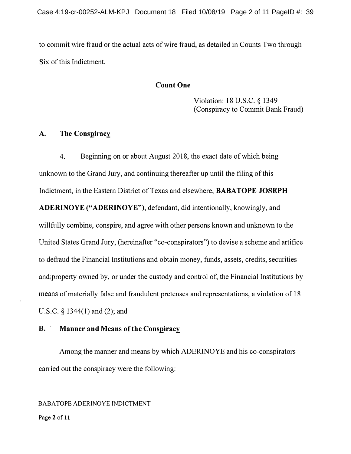**to commit wire fraud or the actual acts of wire fraud, as detailed in Counts Two through Six of this Indictment.** 

## **Count One**

**Violation: 18 U.S.C. § 1349 (Conspiracy to Commit Bank Fraud)** 

#### **A. The Conspiracy**

**4. Beginning on or about August 2018, the exact date of which being unknown to the Grand Jury, and continuing thereafter up until the filing of this Indictment, in the Eastern District of Texas and elsewhere, BABATOPE JOSEPH ADERINOYE ("ADERINOYE"), defendant, did intentionally, knowingly, and willfully combine, conspire, and agree with other persons known and unknown to the United States Grand Jury, (hereinafter "co-conspirators") to devise a scheme and artifice to defraud the Financial Institutions and obtain money, funds, assets, credits, securities and,property owned by, or under the custody and control of, the Financial Institutions by means of materially false and fraudulent pretenses and representations, a violation of 18 U.S.C. § 1344(1) and (2); and** 

# **B. Manner and Means of the Conspiracy**

**Among,the manner and means by which ADERINOYE and his co-conspirators carried out the conspiracy were the following:** 

BABA TOPE ADERINOYE INDICTMENT

Page **2** of **11**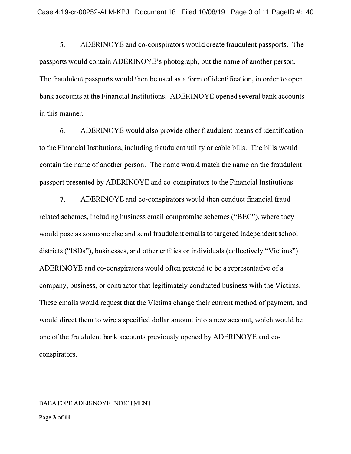5. ADERINOYE and co-conspirators would create fraudulent passports. The passports would contain ADERINOYE's photograph, but the name of another person. The fraudulent passports would then be used as a form of identification, in order to open bank accounts at the Financial Institutions. ADERINOYE opened several bank accounts in this manner.

6. ADERINOYE would also provide other fraudulent means of identification to the Financial Institutions, including fraudulent utility or cable bills. The bills would contain the name of another person. The name would match the name on the fraudulent passport presented by ADERINOYE and co-conspirators to the Financial Institutions.

7. ADERINOYE and co-conspirators would then conduct financial fraud related schemes, including business email compromise schemes ("BEC"), where they would pose as someone else and send fraudulent emails to targeted independent school districts ("ISDs"), businesses, and other entities or individuals ( collectively "Victims"). ADERINOYE and co-conspirators would often pretend to be a representative of a company, business, or contractor that legitimately conducted business with the Victims. These emails would request that the Victims change their current method of payment, and would direct them to wire a specified dollar amount into a new account, which would be one of the fraudulent bank accounts previously opened by ADERINOYE and coconspirators.

#### BABA TOPE ADERINOYE INDICTMENT

Page 3 of 11

绿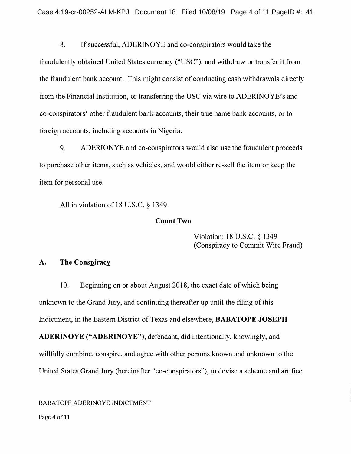**8. If successful, ADERINOYE and co-conspirators would take the** 

**fraudulently obtained United States currency ("USC"), and withdraw or transfer it from the fraudulent bank account. This might consist of conducting cash withdrawals directly from the Financial Institution, or transferring the USC via wire to ADERINOYE's and co-conspirators' other fraudulent bank accounts, their true name bank accounts, or to foreign accounts, including accounts in Nigeria.** 

**9. ADERIONYE and co-conspirators would also use the fraudulent proceeds to purchase other items, such as vehicles, and would either re-sell the item or keep the item for personal use.** 

**All in violation of 18 U.S.C. § 1349.** 

### **Count Two**

**Violation: 18 U.S.C. § 1349 (Conspiracy to Commit Wire Fraud)** 

# **A. The Conspiracy**

**10. Beginning on or about August 2018, the exact date of which being unknown to the Grand Jury, and continuing thereafter up until the filing of this Indictment, in the Eastern District of Texas and elsewhere, BABATOPE JOSEPH ADERINOYE ("ADERINOYE"), defendant, did intentionally, knowingly, and willfully combine, conspire, and agree with other persons known and unknown to the** 

**United States Grand Jury (hereinafter "co-conspirators"), to devise a scheme and artifice** 

BABA TOPE ADERINOYE INDICTMENT

Page **4** of **11**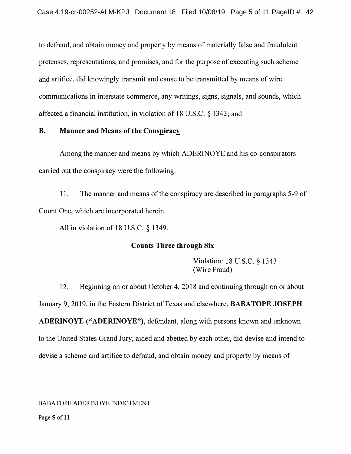**to defraud, and obtain money and property by means of materially false and fraudulent pretenses, representations, and promises, and for the purpose of executing such scheme and artifice, did knowingly transmit and cause to be transmitted by means of wire communications in interstate commerce, any writings, signs, signals, and sounds, which affected a financial institution, in violation of 18 U.S.C. § 1343; and** 

#### **B. Manner and Means of the Conspiracy**

**Among the manner and means by which ADERINOYE and his co-conspirators carried out the conspiracy were the following:** 

**11. The manner and means of the conspiracy are described in paragraphs 5-9 of Count One, which are incorporated herein.** 

**All in violation of 18 U.S.C. § 1349.** 

## **Counts Three through Six**

**Violation: 18 U.S.C. § 1343 (Wire Fraud)** 

**12. Beginning on or about October 4, 2018 and continuing through on or about January 9, 2019, in the Eastern District of Texas and elsewhere, BABATOPE JOSEPH ADERINOYE ("ADERINOYE"), defendant, along with persons known and unknown to the United States Grand Jury, aided and abetted by each other, did devise and intend to devise a scheme and artifice to defraud, and obtain money and property by means of** 

BABA TOPE ADERINOYE INDICTMENT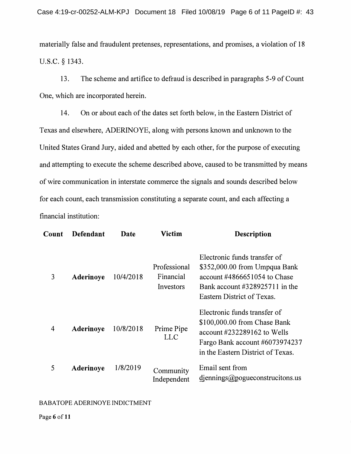**materially false and fraudulent pretenses, representations, and promises, a violation of 18**  u.s.c. **§ 1343.** 

**13. The scheme and artifice to defraud is described in paragraphs 5-9 of Count One, which are incorporated herein.** 

**14. On or about each of the dates set forth below, in the Eastern District of**  Texas and elsewhere, ADERINOYE, along with persons known and unknown to the **United States Grand Jury, aided and abetted by each other, for the purpose of executing and attempting to execute the scheme described above, caused to be transmitted by means of wire communication in interstate commerce the signals and sounds described below for each count, each transmission constituting a separate count, and each affecting a financial institution:** 

| Count | Defendant | Date      | Victim                                 | <b>Description</b>                                                                                                                                                           |
|-------|-----------|-----------|----------------------------------------|------------------------------------------------------------------------------------------------------------------------------------------------------------------------------|
| 3     | Aderinoye | 10/4/2018 | Professional<br>Financial<br>Investors | Electronic funds transfer of<br>\$352,000.00 from Umpqua Bank<br>account $\#4866651054$ to Chase<br>Bank account #328925711 in the<br>Eastern District of Texas.             |
| 4     | Aderinoye | 10/8/2018 | Prime Pipe<br><b>LLC</b>               | Electronic funds transfer of<br>\$100,000.00 from Chase Bank<br>account $\text{\#232289162}$ to Wells<br>Fargo Bank account #6073974237<br>in the Eastern District of Texas. |
| 5     | Aderinoye | 1/8/2019  | Community<br>Independent               | Email sent from<br>$d$ iennings @ pogue constructions.us                                                                                                                     |

#### BABA TOPE ADERINOYE INDICTMENT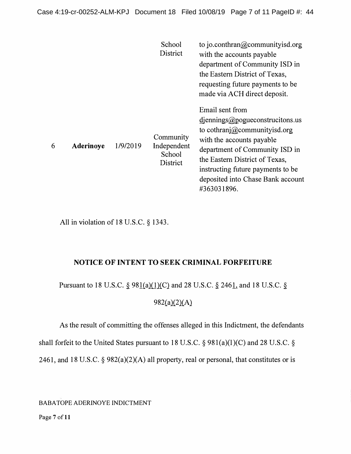|   |                  |          | School<br>District                             | to jo.conthran@communityisd.org<br>with the accounts payable<br>department of Community ISD in<br>the Eastern District of Texas,<br>requesting future payments to be<br>made via ACH direct deposit.                                                                              |
|---|------------------|----------|------------------------------------------------|-----------------------------------------------------------------------------------------------------------------------------------------------------------------------------------------------------------------------------------------------------------------------------------|
| 6 | <b>Aderinoye</b> | 1/9/2019 | Community<br>Independent<br>School<br>District | Email sent from<br>$d$ iennings@ pogue constructions.us<br>to cothranj@communityisd.org<br>with the accounts payable<br>department of Community ISD in<br>the Eastern District of Texas,<br>instructing future payments to be<br>deposited into Chase Bank account<br>#363031896. |

**All in violation of 18 U.S.C. § 1343.** 

# **NOTICE OF INTENT TO SEEK CRIMINAL FORFEITURE**

**Pursuant to 18 U.S.C. § 981(a)(l)(C) and 28 U.S.C. § 2461, and 18 U.S.C. §** 

**982(a)(2)(A)** 

**As the result of committing the offenses alleged in this Indictment, the defendants** 

**shall forfeit to the United States pursuant to 18 U.S.C. § 98l(a)(l )(C) and 28 U.S.C. §** 

**2461, and 18 U.S.C. § 982(a)(2)(A) all property, real or personal, that constitutes or is** 

BABA TOPE ADERINOYE INDICTMENT

Page 7 of 11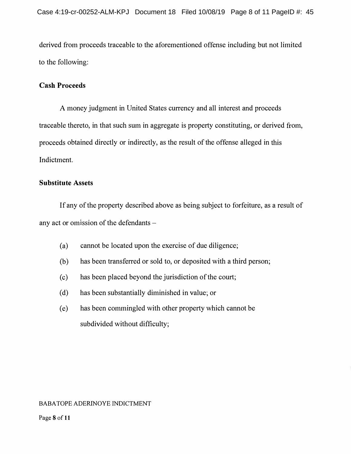**derived from proceeds traceable to the aforementioned offense including but not limited to the following:** 

# **Cash Proceeds**

**A money judgment in United States currency and all interest and proceeds traceable thereto, in that such sum in aggregate is property constituting, or derived from, proceeds obtained directly or indirectly, as the result of the offense alleged in this Indictment.** 

# **Substitute Assets**

**If any of the property described above as being subject to forfeiture, as a result of any act or omission of the defendants -**

- **(a) cannot be located upon the exercise of due diligence;**
- **(b) has been transferred or sold to, or deposited with a third person;**
- **( c) has been placed beyond the jurisdiction of the court;**
- **( d) has been substantially diminished in value; or**
- **(e) has been commingled with other property which cannot be subdivided without difficulty;**

## BABA TOPE ADERINOYE INDICTMENT

Page **8** of **11**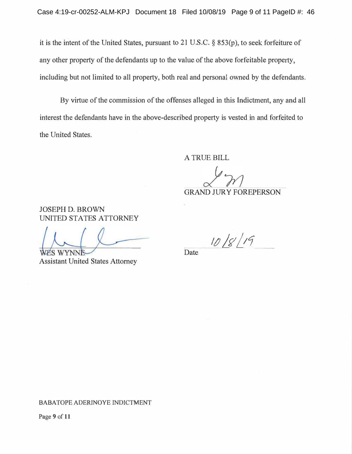**it is the intent of the United States, pursuant to 21 U.S.C. § 853(p), to seek forfeiture of**  any other property of the defendants up to the value of the above forfeitable property, **including but not limited to all property, both real and personal owned by the defendants.** 

**By virtue of the commission of the offenses alleged in this Indictment, any and all interest the defendants have in the above-described property is vested in and forfeited to the United States.** 

**A TRUE BILL** 

**GRAND JURY FOREPERSON** 

**JOSEPH D. BROWN UNITED STATES ATTORNEY** 

**WYNN** ИS

**Assistant United States Attorney** 

*/!J /fl /11* 

**Date** 

#### BABA TOPE ADERINOYE INDICTMENT

Page 9 of 11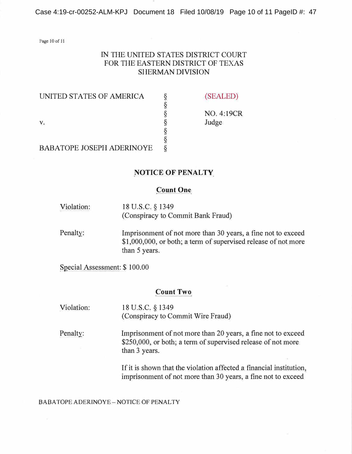Case 4:19-cr-00252-ALM-KPJ Document 18 Filed 10/08/19 Page 10 of 11 PageID #: 47

Page 10 of 11

# **IN THE UNITED STATES DISTRICT COURT FOR THE EASTERN DISTRICT OF TEXAS SHERMAN DIVISION**

**§** 

**§ §** 

UNITED STATES OF AMERICA § (SEALED)

**§ NO. 4:19CR V. § Judge** 

**BABATOPE JOSEPH ADERINOYE** 

#### **NOTICE OF PENALTY**

#### **Count One**

- **Violation: 18 U.S.C. § 1349 (Conspiracy to Commit Bank Fraud)**
- **Penalty:** . . **Imprisonment of not more than 30 years, a fine not to exceed \$1,000,000, or both; a term of supervised release of not more than 5 years.**

**Special Assessment: \$ 100.00** 

#### **Count Two**

**Violation: 18 U.S.C. § 1349 (Conspiracy to Commit Wire Fraud)** 

**Penalty: Imprisonment of not more than 20 years, a fine not to exceed \$250,000, or both; a term of supervised release of not more than 3 years.** 

> **If it is shown that the violation affected a financial institution, imprisonment of not more than 30 years, a fine not to exceed**

BABATOPE ADERINOYE - NOTICE OF PENALTY